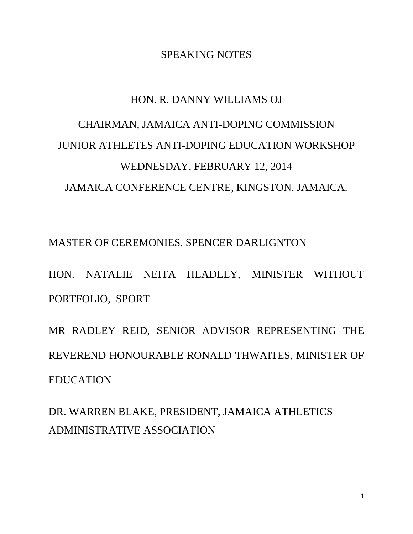## SPEAKING NOTES

## HON. R. DANNY WILLIAMS OJ CHAIRMAN, JAMAICA ANTI-DOPING COMMISSION JUNIOR ATHLETES ANTI-DOPING EDUCATION WORKSHOP WEDNESDAY, FEBRUARY 12, 2014 JAMAICA CONFERENCE CENTRE, KINGSTON, JAMAICA.

MASTER OF CEREMONIES, SPENCER DARLIGNTON

HON. NATALIE NEITA HEADLEY, MINISTER WITHOUT PORTFOLIO, SPORT

MR RADLEY REID, SENIOR ADVISOR REPRESENTING THE REVEREND HONOURABLE RONALD THWAITES, MINISTER OF EDUCATION

DR. WARREN BLAKE, PRESIDENT, JAMAICA ATHLETICS ADMINISTRATIVE ASSOCIATION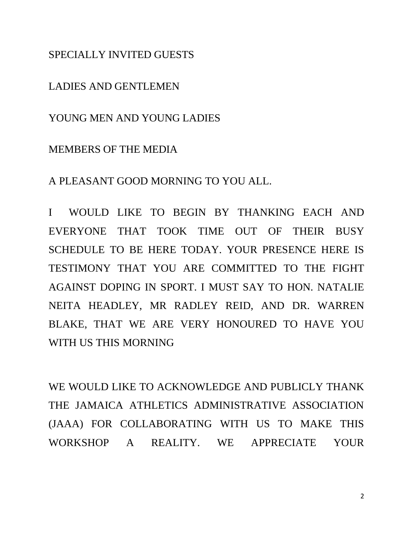SPECIALLY INVITED GUESTS

LADIES AND GENTLEMEN

YOUNG MEN AND YOUNG LADIES

## MEMBERS OF THE MEDIA

A PLEASANT GOOD MORNING TO YOU ALL.

I WOULD LIKE TO BEGIN BY THANKING EACH AND EVERYONE THAT TOOK TIME OUT OF THEIR BUSY SCHEDULE TO BE HERE TODAY. YOUR PRESENCE HERE IS TESTIMONY THAT YOU ARE COMMITTED TO THE FIGHT AGAINST DOPING IN SPORT. I MUST SAY TO HON. NATALIE NEITA HEADLEY, MR RADLEY REID, AND DR. WARREN BLAKE, THAT WE ARE VERY HONOURED TO HAVE YOU WITH US THIS MORNING

WE WOULD LIKE TO ACKNOWLEDGE AND PUBLICLY THANK THE JAMAICA ATHLETICS ADMINISTRATIVE ASSOCIATION (JAAA) FOR COLLABORATING WITH US TO MAKE THIS WORKSHOP A REALITY. WE APPRECIATE YOUR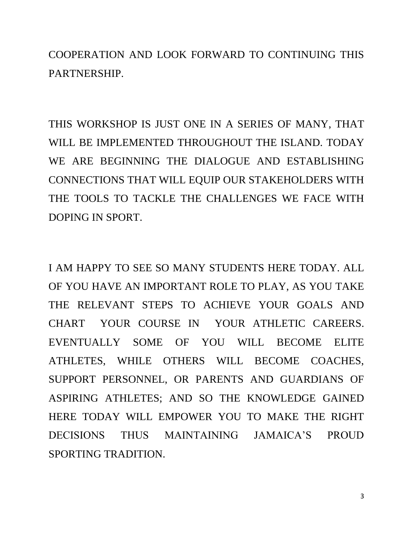COOPERATION AND LOOK FORWARD TO CONTINUING THIS PARTNERSHIP.

THIS WORKSHOP IS JUST ONE IN A SERIES OF MANY, THAT WILL BE IMPLEMENTED THROUGHOUT THE ISLAND. TODAY WE ARE BEGINNING THE DIALOGUE AND ESTABLISHING CONNECTIONS THAT WILL EQUIP OUR STAKEHOLDERS WITH THE TOOLS TO TACKLE THE CHALLENGES WE FACE WITH DOPING IN SPORT.

I AM HAPPY TO SEE SO MANY STUDENTS HERE TODAY. ALL OF YOU HAVE AN IMPORTANT ROLE TO PLAY, AS YOU TAKE THE RELEVANT STEPS TO ACHIEVE YOUR GOALS AND CHART YOUR COURSE IN YOUR ATHLETIC CAREERS. EVENTUALLY SOME OF YOU WILL BECOME ELITE ATHLETES, WHILE OTHERS WILL BECOME COACHES, SUPPORT PERSONNEL, OR PARENTS AND GUARDIANS OF ASPIRING ATHLETES; AND SO THE KNOWLEDGE GAINED HERE TODAY WILL EMPOWER YOU TO MAKE THE RIGHT DECISIONS THUS MAINTAINING JAMAICA'S PROUD SPORTING TRADITION.

3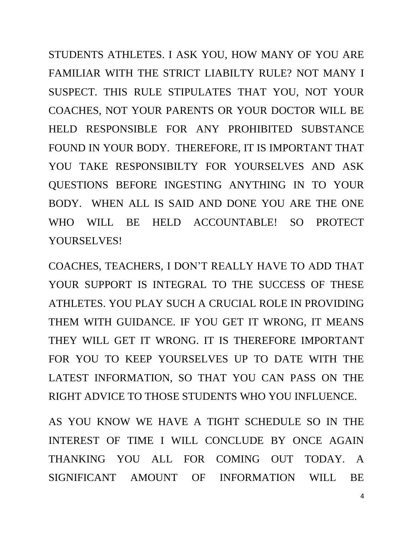STUDENTS ATHLETES. I ASK YOU, HOW MANY OF YOU ARE FAMILIAR WITH THE STRICT LIABILTY RULE? NOT MANY I SUSPECT. THIS RULE STIPULATES THAT YOU, NOT YOUR COACHES, NOT YOUR PARENTS OR YOUR DOCTOR WILL BE HELD RESPONSIBLE FOR ANY PROHIBITED SUBSTANCE FOUND IN YOUR BODY. THEREFORE, IT IS IMPORTANT THAT YOU TAKE RESPONSIBILTY FOR YOURSELVES AND ASK QUESTIONS BEFORE INGESTING ANYTHING IN TO YOUR BODY. WHEN ALL IS SAID AND DONE YOU ARE THE ONE WHO WILL BE HELD ACCOUNTABLE! SO PROTECT YOURSELVES!

COACHES, TEACHERS, I DON'T REALLY HAVE TO ADD THAT YOUR SUPPORT IS INTEGRAL TO THE SUCCESS OF THESE ATHLETES. YOU PLAY SUCH A CRUCIAL ROLE IN PROVIDING THEM WITH GUIDANCE. IF YOU GET IT WRONG, IT MEANS THEY WILL GET IT WRONG. IT IS THEREFORE IMPORTANT FOR YOU TO KEEP YOURSELVES UP TO DATE WITH THE LATEST INFORMATION, SO THAT YOU CAN PASS ON THE RIGHT ADVICE TO THOSE STUDENTS WHO YOU INFLUENCE.

AS YOU KNOW WE HAVE A TIGHT SCHEDULE SO IN THE INTEREST OF TIME I WILL CONCLUDE BY ONCE AGAIN THANKING YOU ALL FOR COMING OUT TODAY. A SIGNIFICANT AMOUNT OF INFORMATION WILL BE

4